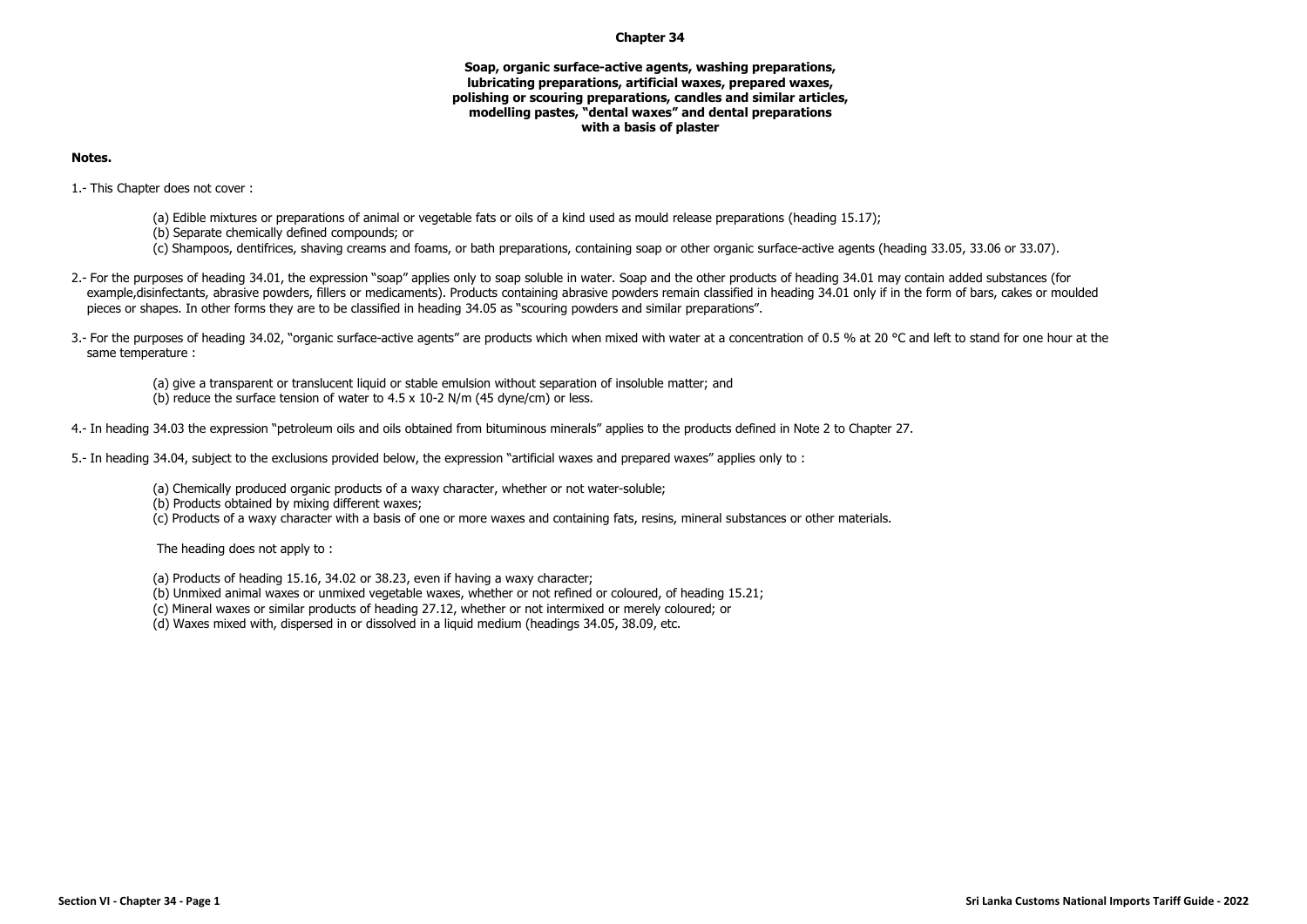## **Chapter 34**

## **Soap, organic surface-active agents, washing preparations, lubricating preparations, artificial waxes, prepared waxes, polishing or scouring preparations, candles and similar articles, modelling pastes, "dental waxes" and dental preparations with a basis of plaster**

## **Notes.**

1.- This Chapter does not cover :

- (a) Edible mixtures or preparations of animal or vegetable fats or oils of a kind used as mould release preparations (heading 15.17);
- (b) Separate chemically defined compounds; or
- (c) Shampoos, dentifrices, shaving creams and foams, or bath preparations, containing soap or other organic surface-active agents (heading 33.05, 33.06 or 33.07).
- 2.- For the purposes of heading 34.01, the expression "soap" applies only to soap soluble in water. Soap and the other products of heading 34.01 may contain added substances (for example,disinfectants, abrasive powders, fillers or medicaments). Products containing abrasive powders remain classified in heading 34.01 only if in the form of bars, cakes or moulded pieces or shapes. In other forms they are to be classified in heading 34.05 as "scouring powders and similar preparations".
- 3.- For the purposes of heading 34.02, "organic surface-active agents" are products which when mixed with water at a concentration of 0.5 % at 20 °C and left to stand for one hour at the same temperature :

(a) give a transparent or translucent liquid or stable emulsion without separation of insoluble matter; and (b) reduce the surface tension of water to  $4.5 \times 10^{-2}$  N/m (45 dyne/cm) or less.

4.- In heading 34.03 the expression "petroleum oils and oils obtained from bituminous minerals" applies to the products defined in Note 2 to Chapter 27.

5.- In heading 34.04, subject to the exclusions provided below, the expression "artificial waxes and prepared waxes" applies only to :

- (a) Chemically produced organic products of a waxy character, whether or not water-soluble;
- (b) Products obtained by mixing different waxes;
- (c) Products of a waxy character with a basis of one or more waxes and containing fats, resins, mineral substances or other materials.

The heading does not apply to :

- (a) Products of heading 15.16, 34.02 or 38.23, even if having a waxy character;
- (b) Unmixed animal waxes or unmixed vegetable waxes, whether or not refined or coloured, of heading 15.21;
- (c) Mineral waxes or similar products of heading 27.12, whether or not intermixed or merely coloured; or
- (d) Waxes mixed with, dispersed in or dissolved in a liquid medium (headings 34.05, 38.09, etc.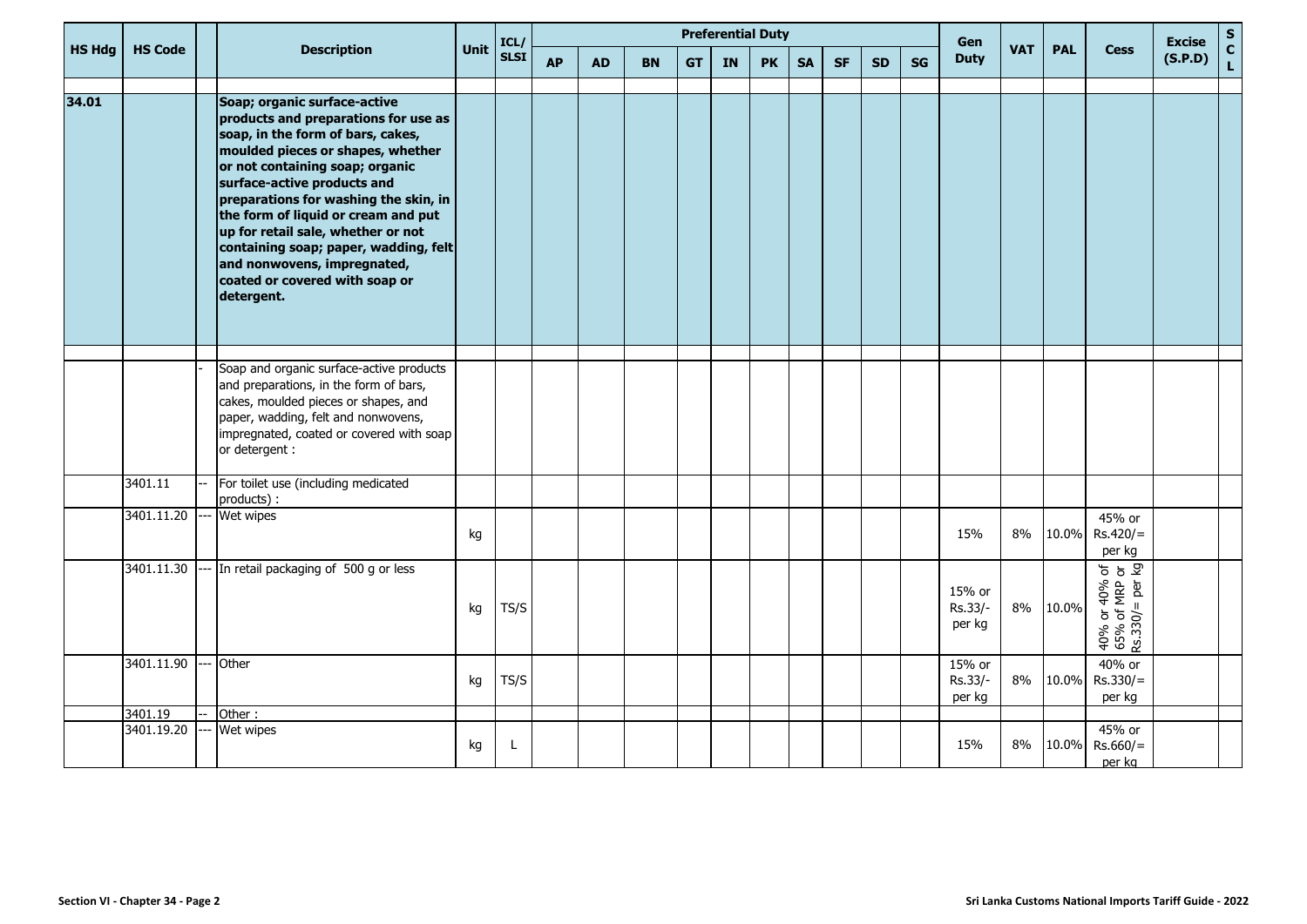|               |                       |  | <b>Description</b>                                                                                                                                                                                                                                                                                                                                                                                                                                             |             |              | <b>Preferential Duty</b> |           |           |           |    |           |           |           |           |    |                             | Gen<br><b>VAT</b> |            |                                                         | <b>Excise</b> | $\mathbf S$        |
|---------------|-----------------------|--|----------------------------------------------------------------------------------------------------------------------------------------------------------------------------------------------------------------------------------------------------------------------------------------------------------------------------------------------------------------------------------------------------------------------------------------------------------------|-------------|--------------|--------------------------|-----------|-----------|-----------|----|-----------|-----------|-----------|-----------|----|-----------------------------|-------------------|------------|---------------------------------------------------------|---------------|--------------------|
| <b>HS Hdg</b> | <b>HS Code</b>        |  |                                                                                                                                                                                                                                                                                                                                                                                                                                                                | <b>Unit</b> | ICL/<br>SLSI | <b>AP</b>                | <b>AD</b> | <b>BN</b> | <b>GT</b> | IN | <b>PK</b> | <b>SA</b> | <b>SF</b> | <b>SD</b> | SG | <b>Duty</b>                 |                   | <b>PAL</b> | <b>Cess</b>                                             | (S.P.D)       | $\mathbf{c}$<br>L. |
| 34.01         |                       |  | Soap; organic surface-active<br>products and preparations for use as<br>soap, in the form of bars, cakes,<br>moulded pieces or shapes, whether<br>or not containing soap; organic<br>surface-active products and<br>preparations for washing the skin, in<br>the form of liquid or cream and put<br>up for retail sale, whether or not<br>containing soap; paper, wadding, felt<br>and nonwovens, impregnated,<br>coated or covered with soap or<br>detergent. |             |              |                          |           |           |           |    |           |           |           |           |    |                             |                   |            |                                                         |               |                    |
|               |                       |  | Soap and organic surface-active products<br>and preparations, in the form of bars,<br>cakes, moulded pieces or shapes, and<br>paper, wadding, felt and nonwovens,<br>impregnated, coated or covered with soap<br>or detergent :                                                                                                                                                                                                                                |             |              |                          |           |           |           |    |           |           |           |           |    |                             |                   |            |                                                         |               |                    |
|               | 3401.11               |  | For toilet use (including medicated<br>products) :                                                                                                                                                                                                                                                                                                                                                                                                             |             |              |                          |           |           |           |    |           |           |           |           |    |                             |                   |            |                                                         |               |                    |
|               | 3401.11.20            |  | Wet wipes                                                                                                                                                                                                                                                                                                                                                                                                                                                      | kg          |              |                          |           |           |           |    |           |           |           |           |    | 15%                         | 8%                | 10.0%      | 45% or<br>$Rs.420/=$<br>per kg                          |               |                    |
|               | 3401.11.30            |  | In retail packaging of 500 g or less                                                                                                                                                                                                                                                                                                                                                                                                                           | kg          | TS/S         |                          |           |           |           |    |           |           |           |           |    | 15% or<br>Rs.33/-<br>per kg | 8%                | 10.0%      | $40\%$ or $40\%$ of<br>65% of MRP or<br>Rs.330/= per kg |               |                    |
|               | 3401.11.90            |  | Other                                                                                                                                                                                                                                                                                                                                                                                                                                                          | kg          | TS/S         |                          |           |           |           |    |           |           |           |           |    | 15% or<br>Rs.33/-<br>per kg | 8%                | 10.0%      | 40% or<br>$Rs.330/=$<br>per kg                          |               |                    |
|               | 3401.19<br>3401.19.20 |  | Other:<br>Wet wipes                                                                                                                                                                                                                                                                                                                                                                                                                                            |             |              |                          |           |           |           |    |           |           |           |           |    |                             |                   |            | 45% or                                                  |               |                    |
|               |                       |  |                                                                                                                                                                                                                                                                                                                                                                                                                                                                | kg          | L            |                          |           |           |           |    |           |           |           |           |    | 15%                         | 8%                | 10.0%      | $Rs.660/=$<br>per kg                                    |               |                    |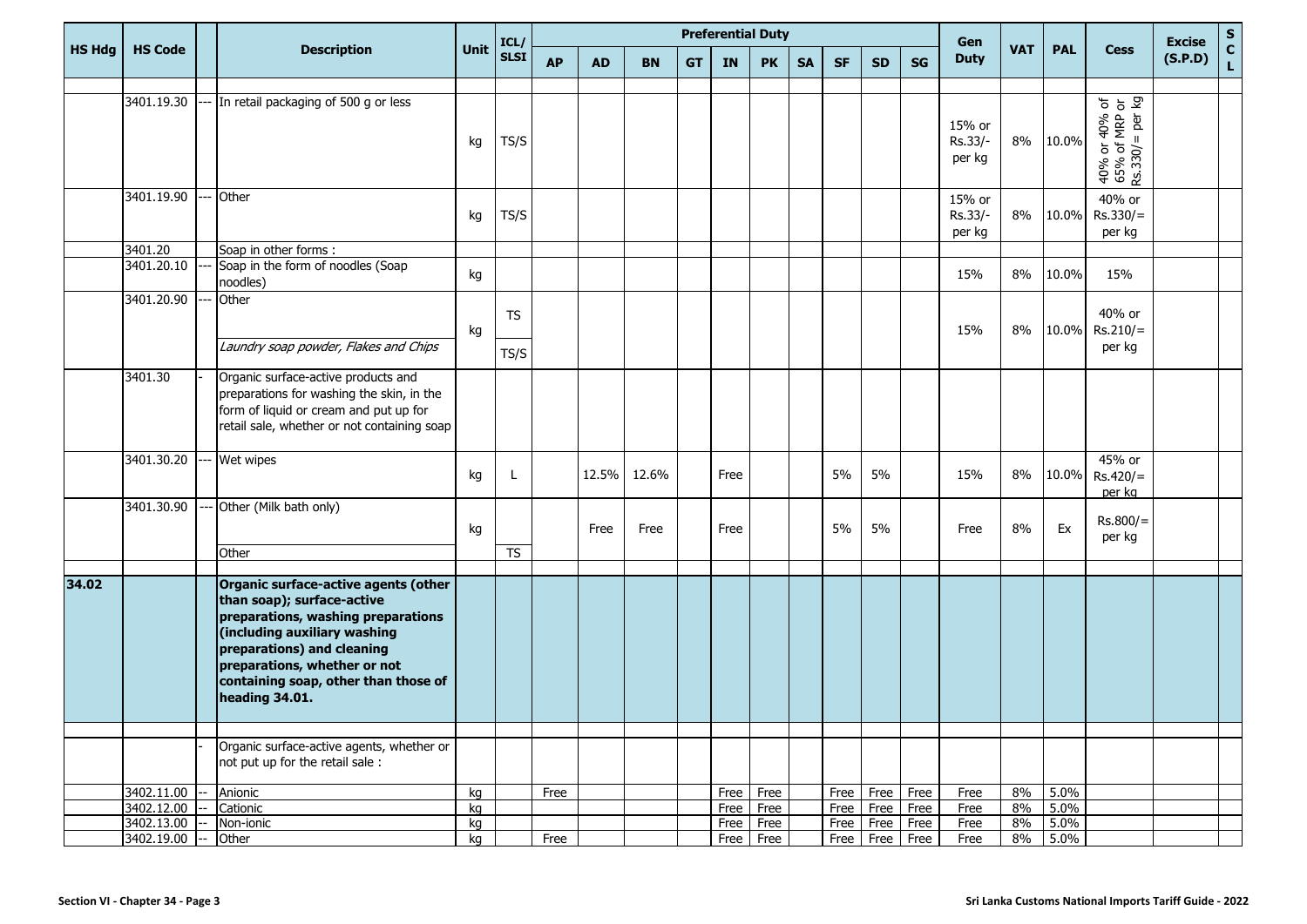|               |                |                                                                                                                                                                                                                                                                  |      | ICL/<br><b>SLSI</b>    | <b>Preferential Duty</b> |           |           |           |           |             |           |           |           |           | Gen                         |            |            |                                                   | <b>Excise</b> | ${\sf s}$                   |
|---------------|----------------|------------------------------------------------------------------------------------------------------------------------------------------------------------------------------------------------------------------------------------------------------------------|------|------------------------|--------------------------|-----------|-----------|-----------|-----------|-------------|-----------|-----------|-----------|-----------|-----------------------------|------------|------------|---------------------------------------------------|---------------|-----------------------------|
| <b>HS Hdg</b> | <b>HS Code</b> | <b>Description</b>                                                                                                                                                                                                                                               | Unit |                        | <b>AP</b>                | <b>AD</b> | <b>BN</b> | <b>GT</b> | <b>IN</b> | <b>PK</b>   | <b>SA</b> | <b>SF</b> | <b>SD</b> | <b>SG</b> | <b>Duty</b>                 | <b>VAT</b> | <b>PAL</b> | <b>Cess</b>                                       | (S.P.D)       | $\mathbf c$<br>$\mathsf{L}$ |
|               |                |                                                                                                                                                                                                                                                                  |      |                        |                          |           |           |           |           |             |           |           |           |           |                             |            |            |                                                   |               |                             |
|               | 3401.19.30     | In retail packaging of 500 g or less                                                                                                                                                                                                                             | kg   | TS/S                   |                          |           |           |           |           |             |           |           |           |           | 15% or<br>Rs.33/-<br>per kg | 8%         | 10.0%      | 40% or 40% of<br>65% of MRP or<br>Rs.330/= per kg |               |                             |
|               | 3401.19.90     | Other                                                                                                                                                                                                                                                            | kg   | TS/S                   |                          |           |           |           |           |             |           |           |           |           | 15% or<br>Rs.33/-<br>per kg | 8%         | 10.0%      | 40% or<br>$Rs.330/=$<br>per kg                    |               |                             |
|               | 3401.20        | Soap in other forms :                                                                                                                                                                                                                                            |      |                        |                          |           |           |           |           |             |           |           |           |           |                             |            |            |                                                   |               |                             |
|               | 3401.20.10     | Soap in the form of noodles (Soap<br>noodles)                                                                                                                                                                                                                    | kg   |                        |                          |           |           |           |           |             |           |           |           |           | 15%                         | 8%         | 10.0%      | 15%                                               |               |                             |
|               | 3401.20.90     | Other<br>Laundry soap powder, Flakes and Chips                                                                                                                                                                                                                   | kg   | <b>TS</b>              |                          |           |           |           |           |             |           |           |           |           | 15%                         | 8%         | 10.0%      | 40% or<br>$Rs.210/=$                              |               |                             |
|               |                |                                                                                                                                                                                                                                                                  |      | TS/S                   |                          |           |           |           |           |             |           |           |           |           |                             |            |            | per kg                                            |               |                             |
|               | 3401.30        | Organic surface-active products and<br>preparations for washing the skin, in the<br>form of liquid or cream and put up for<br>retail sale, whether or not containing soap                                                                                        |      |                        |                          |           |           |           |           |             |           |           |           |           |                             |            |            |                                                   |               |                             |
|               | 3401.30.20     | Wet wipes                                                                                                                                                                                                                                                        | kg   | L                      |                          | 12.5%     | 12.6%     |           | Free      |             |           | 5%        | 5%        |           | 15%                         | 8%         | 10.0%      | 45% or<br>$Rs.420/=$<br>per kg                    |               |                             |
|               | 3401.30.90     | Other (Milk bath only)<br>Other                                                                                                                                                                                                                                  | kg   | $\overline{\text{TS}}$ |                          | Free      | Free      |           | Free      |             |           | 5%        | 5%        |           | Free                        | 8%         | Ex         | $Rs.800/=$<br>per kg                              |               |                             |
|               |                |                                                                                                                                                                                                                                                                  |      |                        |                          |           |           |           |           |             |           |           |           |           |                             |            |            |                                                   |               |                             |
| 34.02         |                | Organic surface-active agents (other<br>than soap); surface-active<br>preparations, washing preparations<br>(including auxiliary washing<br>preparations) and cleaning<br>preparations, whether or not<br>containing soap, other than those of<br>heading 34.01. |      |                        |                          |           |           |           |           |             |           |           |           |           |                             |            |            |                                                   |               |                             |
|               |                |                                                                                                                                                                                                                                                                  |      |                        |                          |           |           |           |           |             |           |           |           |           |                             |            |            |                                                   |               |                             |
|               |                | Organic surface-active agents, whether or<br>not put up for the retail sale :                                                                                                                                                                                    |      |                        |                          |           |           |           |           |             |           |           |           |           |                             |            |            |                                                   |               |                             |
|               | 3402.11.00     | Anionic                                                                                                                                                                                                                                                          | kg   |                        | Free                     |           |           |           |           | Free Free   |           | Free      | Free      | Free      | Free                        | 8%         | 5.0%       |                                                   |               |                             |
|               | 3402.12.00     | Cationic                                                                                                                                                                                                                                                         | kg   |                        |                          |           |           |           |           | Free Free   |           | Free      | Free Free |           | Free                        | 8%         | 5.0%       |                                                   |               |                             |
|               | 3402.13.00     | Non-ionic                                                                                                                                                                                                                                                        | kg   |                        |                          |           |           |           |           | Free Free   |           | Free      | Free Free |           | Free                        | 8%         | 5.0%       |                                                   |               |                             |
|               | 3402.19.00 --  | Other                                                                                                                                                                                                                                                            | kg   |                        | Free                     |           |           |           |           | $Free$ Free |           | Free      |           | Free Free | Free                        | 8%         | 5.0%       |                                                   |               |                             |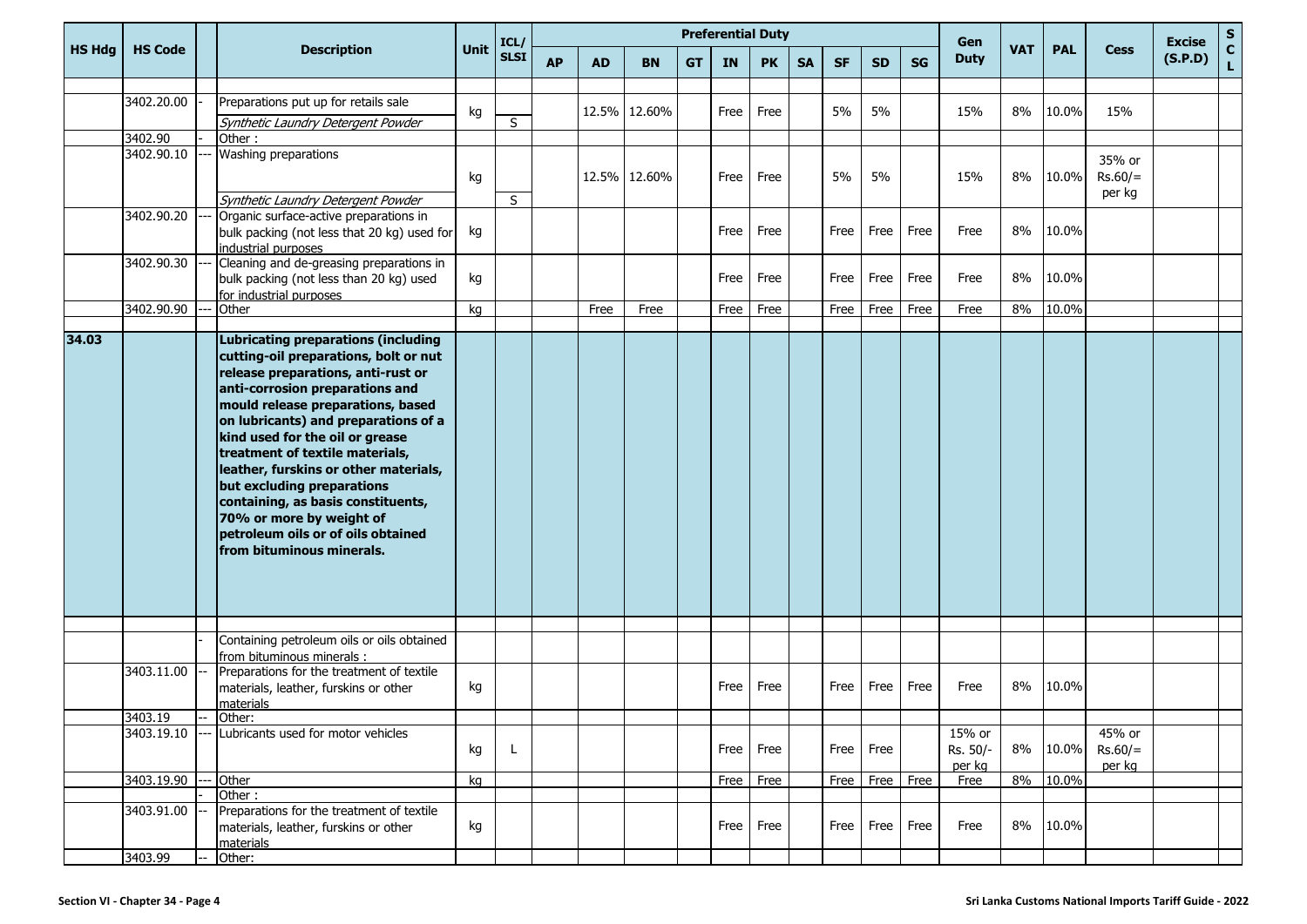|               |                       |                                                                                                                                                                                                                                                                                                                                                                                                                                                                                                                             |             | ICL/<br><b>SLSI</b> | <b>Preferential Duty</b> |           |              |           |      |           |           |           |           |           | Gen                          |            |            |                               | <b>Excise</b> | ${\sf s}$          |
|---------------|-----------------------|-----------------------------------------------------------------------------------------------------------------------------------------------------------------------------------------------------------------------------------------------------------------------------------------------------------------------------------------------------------------------------------------------------------------------------------------------------------------------------------------------------------------------------|-------------|---------------------|--------------------------|-----------|--------------|-----------|------|-----------|-----------|-----------|-----------|-----------|------------------------------|------------|------------|-------------------------------|---------------|--------------------|
| <b>HS Hdg</b> | <b>HS Code</b>        | <b>Description</b>                                                                                                                                                                                                                                                                                                                                                                                                                                                                                                          | <b>Unit</b> |                     | <b>AP</b>                | <b>AD</b> | <b>BN</b>    | <b>GT</b> | IN   | <b>PK</b> | <b>SA</b> | <b>SF</b> | <b>SD</b> | <b>SG</b> | <b>Duty</b>                  | <b>VAT</b> | <b>PAL</b> | <b>Cess</b>                   | (S.P.D)       | $\mathbf{C}$<br>Ĺ. |
|               |                       |                                                                                                                                                                                                                                                                                                                                                                                                                                                                                                                             |             |                     |                          |           |              |           |      |           |           |           |           |           |                              |            |            |                               |               |                    |
|               | 3402.20.00            | Preparations put up for retails sale                                                                                                                                                                                                                                                                                                                                                                                                                                                                                        | kg          |                     |                          |           | 12.5% 12.60% |           | Free | Free      |           | 5%        | 5%        |           | 15%                          | 8%         | 10.0%      | 15%                           |               |                    |
|               |                       | Synthetic Laundry Detergent Powder                                                                                                                                                                                                                                                                                                                                                                                                                                                                                          |             | S                   |                          |           |              |           |      |           |           |           |           |           |                              |            |            |                               |               |                    |
|               | 3402.90               | Other:                                                                                                                                                                                                                                                                                                                                                                                                                                                                                                                      |             |                     |                          |           |              |           |      |           |           |           |           |           |                              |            |            |                               |               |                    |
|               | 3402.90.10            | Washing preparations                                                                                                                                                                                                                                                                                                                                                                                                                                                                                                        | kg          |                     |                          |           | 12.5% 12.60% |           | Free | Free      |           | 5%        | 5%        |           | 15%                          | 8%         | 10.0%      | 35% or<br>$Rs.60/=$<br>per kg |               |                    |
|               |                       | Synthetic Laundry Detergent Powder                                                                                                                                                                                                                                                                                                                                                                                                                                                                                          |             | S                   |                          |           |              |           |      |           |           |           |           |           |                              |            |            |                               |               |                    |
|               | 3402.90.20            | Organic surface-active preparations in<br>bulk packing (not less that 20 kg) used for<br>industrial purposes                                                                                                                                                                                                                                                                                                                                                                                                                | kg          |                     |                          |           |              |           | Free | Free      |           | Free      | Free      | Free      | Free                         | 8%         | 10.0%      |                               |               |                    |
|               | 3402.90.30            | Cleaning and de-greasing preparations in<br>bulk packing (not less than 20 kg) used<br>for industrial purposes                                                                                                                                                                                                                                                                                                                                                                                                              | kg          |                     |                          |           |              |           | Free | Free      |           | Free      | Free      | Free      | Free                         | 8%         | 10.0%      |                               |               |                    |
|               | 3402.90.90            | Other                                                                                                                                                                                                                                                                                                                                                                                                                                                                                                                       | kg          |                     |                          | Free      | Free         |           | Free | Free      |           | Free      | Free      | Free      | Free                         | 8%         | 10.0%      |                               |               |                    |
|               |                       |                                                                                                                                                                                                                                                                                                                                                                                                                                                                                                                             |             |                     |                          |           |              |           |      |           |           |           |           |           |                              |            |            |                               |               |                    |
| 34.03         |                       | <b>Lubricating preparations (including</b><br>cutting-oil preparations, bolt or nut<br>release preparations, anti-rust or<br>anti-corrosion preparations and<br>mould release preparations, based<br>on lubricants) and preparations of a<br>kind used for the oil or grease<br>treatment of textile materials,<br>leather, furskins or other materials,<br>but excluding preparations<br>containing, as basis constituents,<br>70% or more by weight of<br>petroleum oils or of oils obtained<br>from bituminous minerals. |             |                     |                          |           |              |           |      |           |           |           |           |           |                              |            |            |                               |               |                    |
|               |                       | Containing petroleum oils or oils obtained                                                                                                                                                                                                                                                                                                                                                                                                                                                                                  |             |                     |                          |           |              |           |      |           |           |           |           |           |                              |            |            |                               |               |                    |
|               |                       | from bituminous minerals :                                                                                                                                                                                                                                                                                                                                                                                                                                                                                                  |             |                     |                          |           |              |           |      |           |           |           |           |           |                              |            |            |                               |               |                    |
|               | 3403.11.00            | Preparations for the treatment of textile<br>materials, leather, furskins or other<br>materials                                                                                                                                                                                                                                                                                                                                                                                                                             | kg          |                     |                          |           |              |           | Free | Free      |           | Free      | Free      | Free      | Free                         | 8%         | 10.0%      |                               |               |                    |
|               | 3403.19               | Other:                                                                                                                                                                                                                                                                                                                                                                                                                                                                                                                      |             |                     |                          |           |              |           |      |           |           |           |           |           |                              |            |            |                               |               |                    |
|               | 3403.19.10            | --- Lubricants used for motor vehicles                                                                                                                                                                                                                                                                                                                                                                                                                                                                                      | kg          |                     |                          |           |              |           |      | Free Free |           |           | Free Free |           | 15% or<br>Rs. 50/-<br>per kg | 8%         | 10.0%      | 45% or<br>$Rs.60/=$<br>per kg |               |                    |
|               | 3403.19.90            | Other                                                                                                                                                                                                                                                                                                                                                                                                                                                                                                                       | kg          |                     |                          |           |              |           |      | Free Free |           | Free      | Free Free |           | Free                         |            | 8% 10.0%   |                               |               |                    |
|               | 3403.91.00<br>3403.99 | Other:<br>Preparations for the treatment of textile<br>materials, leather, furskins or other<br>materials<br>Other:                                                                                                                                                                                                                                                                                                                                                                                                         | kg          |                     |                          |           |              |           |      | Free Free |           | Free      | Free      | Free      | Free                         |            | 8% 10.0%   |                               |               |                    |
|               |                       |                                                                                                                                                                                                                                                                                                                                                                                                                                                                                                                             |             |                     |                          |           |              |           |      |           |           |           |           |           |                              |            |            |                               |               |                    |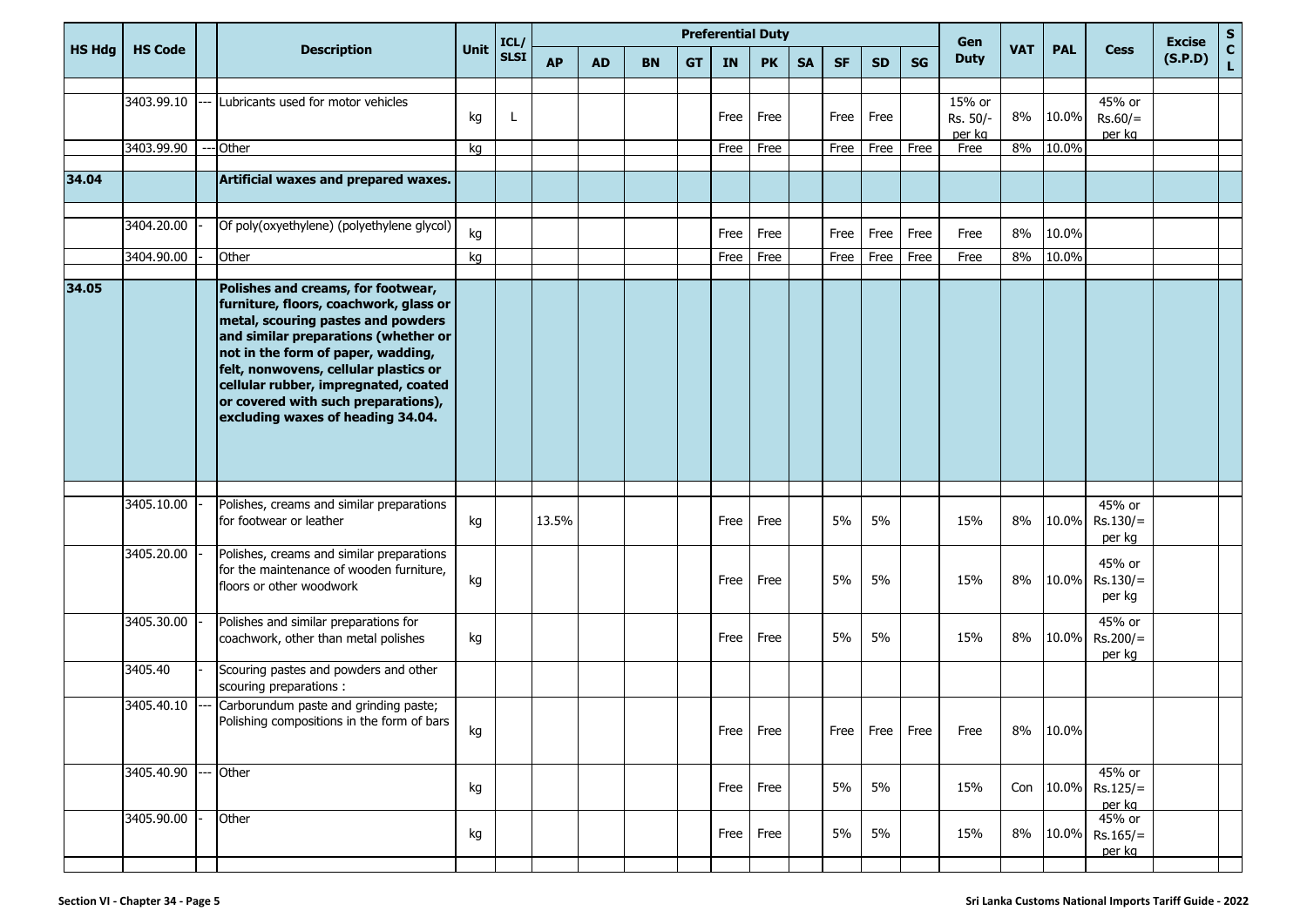|               |                          |                                                                                                                                                                                                                                                                                                                                                               |          | ICL/        | <b>Preferential Duty</b> |           |           |           |              |              |           |              |              |           | Gen                                  |            |                |                                | <b>Excise</b>    | S |
|---------------|--------------------------|---------------------------------------------------------------------------------------------------------------------------------------------------------------------------------------------------------------------------------------------------------------------------------------------------------------------------------------------------------------|----------|-------------|--------------------------|-----------|-----------|-----------|--------------|--------------|-----------|--------------|--------------|-----------|--------------------------------------|------------|----------------|--------------------------------|------------------|---|
| <b>HS Hdg</b> | <b>HS Code</b>           | <b>Description</b>                                                                                                                                                                                                                                                                                                                                            | Unit     | <b>SLSI</b> | <b>AP</b>                | <b>AD</b> | <b>BN</b> | <b>GT</b> | IN           | <b>PK</b>    | <b>SA</b> | <b>SF</b>    | <b>SD</b>    | <b>SG</b> | <b>VAT</b><br><b>Duty</b>            | <b>PAL</b> | <b>Cess</b>    | (S.P.D)                        | $\mathbf c$<br>L |   |
|               | 3403.99.10<br>3403.99.90 | Lubricants used for motor vehicles<br>--- Other                                                                                                                                                                                                                                                                                                               | kg<br>kg | Ι.          |                          |           |           |           | Free<br>Free | Free<br>Free |           | Free<br>Free | Free<br>Free | Free      | 15% or<br>Rs. 50/-<br>per kg<br>Free | 8%<br>8%   | 10.0%<br>10.0% | 45% or<br>$Rs.60/=$<br>per kg  |                  |   |
|               |                          |                                                                                                                                                                                                                                                                                                                                                               |          |             |                          |           |           |           |              |              |           |              |              |           |                                      |            |                |                                |                  |   |
| 34.04         |                          | Artificial waxes and prepared waxes.                                                                                                                                                                                                                                                                                                                          |          |             |                          |           |           |           |              |              |           |              |              |           |                                      |            |                |                                |                  |   |
|               | 3404.20.00               | Of poly(oxyethylene) (polyethylene glycol)                                                                                                                                                                                                                                                                                                                    | kg       |             |                          |           |           |           | Free         | Free         |           | Free         | Free         | Free      | Free                                 | 8%         | 10.0%          |                                |                  |   |
|               | 3404.90.00               | Other                                                                                                                                                                                                                                                                                                                                                         | kg       |             |                          |           |           |           | Free         | Free         |           | Free         | Free         | Free      | Free                                 | 8%         | 10.0%          |                                |                  |   |
| 34.05         |                          | Polishes and creams, for footwear,<br>furniture, floors, coachwork, glass or<br>metal, scouring pastes and powders<br>and similar preparations (whether or<br>not in the form of paper, wadding,<br>felt, nonwovens, cellular plastics or<br>cellular rubber, impregnated, coated<br>or covered with such preparations),<br>excluding waxes of heading 34.04. |          |             |                          |           |           |           |              |              |           |              |              |           |                                      |            |                |                                |                  |   |
|               | 3405.10.00               | Polishes, creams and similar preparations<br>for footwear or leather                                                                                                                                                                                                                                                                                          | kg       |             | 13.5%                    |           |           |           | Free         | Free         |           | 5%           | 5%           |           | 15%                                  | 8%         | 10.0%          | 45% or<br>$Rs.130/=$<br>per kg |                  |   |
|               | 3405.20.00               | Polishes, creams and similar preparations<br>for the maintenance of wooden furniture,<br>floors or other woodwork                                                                                                                                                                                                                                             | kg       |             |                          |           |           |           | Free         | Free         |           | 5%           | 5%           |           | 15%                                  | 8%         | 10.0%          | 45% or<br>$Rs.130/=$<br>per kg |                  |   |
|               | 3405.30.00               | Polishes and similar preparations for<br>coachwork, other than metal polishes                                                                                                                                                                                                                                                                                 | kg       |             |                          |           |           |           | Free         | Free         |           | 5%           | 5%           |           | 15%                                  | 8%         | 10.0%          | 45% or<br>$Rs.200/=$<br>per kg |                  |   |
|               | 3405.40                  | Scouring pastes and powders and other<br>scouring preparations :                                                                                                                                                                                                                                                                                              |          |             |                          |           |           |           |              |              |           |              |              |           |                                      |            |                |                                |                  |   |
|               | 3405.40.10               | Carborundum paste and grinding paste;<br>Polishing compositions in the form of bars                                                                                                                                                                                                                                                                           | kg       |             |                          |           |           |           | Free         | Free         |           | Free         | Free         | Free      | Free                                 | 8%         | 10.0%          |                                |                  |   |
|               | 3405.40.90               | -- Other                                                                                                                                                                                                                                                                                                                                                      | kg       |             |                          |           |           |           | Free         | Free         |           | 5%           | 5%           |           | 15%                                  |            | Con 10.0%      | 45% or<br>$Rs.125/=$<br>per kg |                  |   |
|               | 3405.90.00               | Other                                                                                                                                                                                                                                                                                                                                                         | kg       |             |                          |           |           |           | Free         | Free         |           | 5%           | 5%           |           | 15%                                  | 8%         | 10.0%          | 45% or<br>$Rs.165/=$<br>per kg |                  |   |
|               |                          |                                                                                                                                                                                                                                                                                                                                                               |          |             |                          |           |           |           |              |              |           |              |              |           |                                      |            |                |                                |                  |   |